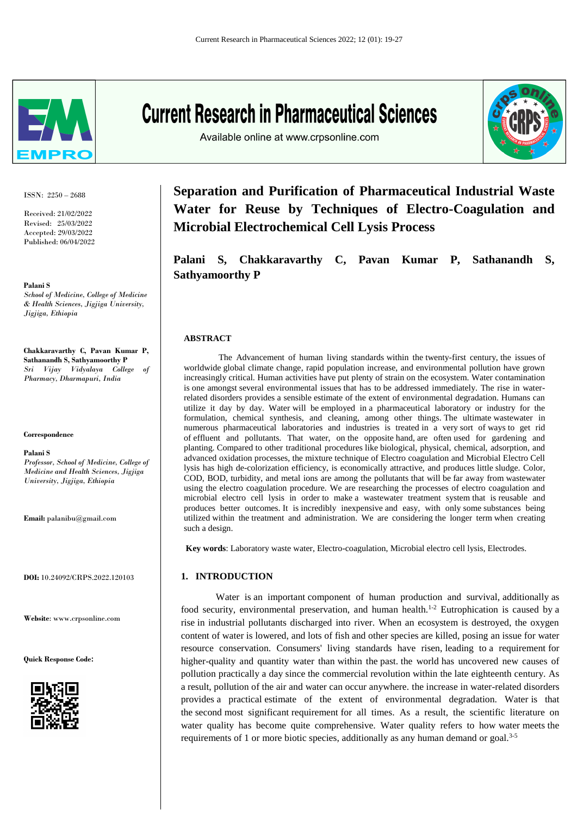

ISSN: 2250 – 2688

Received: 21/02/2022 Revised: 25/03/2022 Accepted: 29/03/2022 Published: 06/04/2022

**Palani S**

*School of Medicine, College of Medicine & Health Sciences, Jigjiga University, Jigjiga, Ethiopia*

**Chakkaravarthy C, Pavan Kumar P, Sathanandh S, Sathyamoorthy P** *Sri Vijay Vidyalaya College of Pharmacy, Dharmapuri, India*

#### **Correspondence**

**Palani S** *Professor, School of Medicine, College of Medicine and Health Sciences, Jigjiga* 

*University, Jigjiga, Ethiopia*

**Email:** palanibu@gmail.com

**DOI:** 10.24092/CRPS.2022.120103

**Website**: www.crpsonline.com

**Quick Response Code:**



# **Current Research in Pharmaceutical Sciences**

Available online at www.crpsonline.com



**Separation and Purification of Pharmaceutical Industrial Waste Water for Reuse by Techniques of Electro-Coagulation and Microbial Electrochemical Cell Lysis Process**

**Palani S, Chakkaravarthy C, Pavan Kumar P, Sathanandh S, Sathyamoorthy P**

## **ABSTRACT**

The Advancement of human living standards within the twenty-first century, the issues of worldwide global climate change, rapid population increase, and environmental pollution have grown increasingly critical. Human activities have put plenty of strain on the ecosystem. Water contamination is one amongst several environmental issues that has to be addressed immediately. The rise in waterrelated disorders provides a sensible estimate of the extent of environmental degradation. Humans can utilize it day by day. Water will be employed in a pharmaceutical laboratory or industry for the formulation, chemical synthesis, and cleaning, among other things. The ultimate wastewater in numerous pharmaceutical laboratories and industries is treated in a very sort of ways to get rid of effluent and pollutants. That water, on the opposite hand, are often used for gardening and planting. Compared to other traditional procedures like biological, physical, chemical, adsorption, and advanced oxidation processes, the mixture technique of Electro coagulation and Microbial Electro Cell lysis has high de-colorization efficiency, is economically attractive, and produces little sludge. Color, COD, BOD, turbidity, and metal ions are among the pollutants that will be far away from wastewater using the electro coagulation procedure. We are researching the processes of electro coagulation and microbial electro cell lysis in order to make a wastewater treatment system that is reusable and produces better outcomes. It is incredibly inexpensive and easy, with only some substances being utilized within the treatment and administration. We are considering the longer term when creating such a design.

**Key words**: Laboratory waste water, Electro-coagulation, Microbial electro cell lysis, Electrodes.

# **1. INTRODUCTION**

requirements of 1 or more biotic species, additionally as any human demand or goal.<sup>3-5</sup> Water is an important component of human production and survival, additionally as food security, environmental preservation, and human health.<sup>1-2</sup> Eutrophication is caused by a rise in industrial pollutants discharged into river. When an ecosystem is destroyed, the oxygen content of water is lowered, and lots of fish and other species are killed, posing an issue for water resource conservation. Consumers' living standards have risen, leading to a requirement for higher-quality and quantity water than within the past. the world has uncovered new causes of pollution practically a day since the commercial revolution within the late eighteenth century. As a result, pollution of the air and water can occur anywhere. the increase in water-related disorders provides a practical estimate of the extent of environmental degradation. Water is that the second most significant requirement for all times. As a result, the scientific literature on water quality has become quite comprehensive. Water quality refers to how water meets the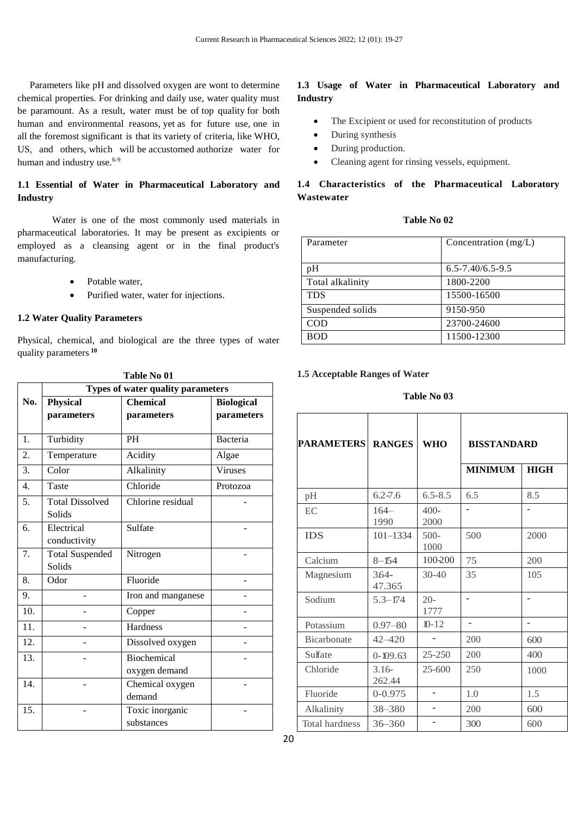Parameters like pH and dissolved oxygen are wont to determine chemical properties. For drinking and daily use, water quality must be paramount. As a result, water must be of top quality for both human and environmental reasons, yet as for future use, one in all the foremost significant is that its variety of criteria, like WHO, US, and others, which will be accustomed authorize water for human and industry use.<sup>6-9</sup>

# **1.1 Essential of Water in Pharmaceutical Laboratory and Industry**

Water is one of the most commonly used materials in pharmaceutical laboratories. It may be present as excipients or employed as a cleansing agent or in the final product's manufacturing.

- Potable water,
- Purified water, water for injections.

# **1.2 Water Quality Parameters**

Physical, chemical, and biological are the three types of water quality parameters **<sup>10</sup>**

|                  | Types of water quality parameters |                    |                   |
|------------------|-----------------------------------|--------------------|-------------------|
| No.              | <b>Physical</b>                   | <b>Chemical</b>    | <b>Biological</b> |
|                  | parameters                        | parameters         | parameters        |
|                  |                                   |                    |                   |
| 1.               | Turbidity                         | <b>PH</b>          | <b>Bacteria</b>   |
| 2.               | Temperature                       | Acidity            | Algae             |
| 3.               | Color                             | Alkalinity         | <b>Viruses</b>    |
| $\overline{4}$ . | Taste                             | Chloride           | Protozoa          |
| 5.               | <b>Total Dissolved</b>            | Chlorine residual  |                   |
|                  | Solids                            |                    |                   |
| 6.               | Electrical                        | Sulfate            |                   |
|                  | conductivity                      |                    |                   |
| 7.               | <b>Total Suspended</b>            | Nitrogen           |                   |
|                  | Solids                            |                    |                   |
| 8.               | Odor                              | Fluoride           |                   |
| 9.               |                                   | Iron and manganese |                   |
| 10.              |                                   | Copper             |                   |
| 11.              |                                   | Hardness           |                   |
| 12.              |                                   | Dissolved oxygen   |                   |
| 13.              |                                   | <b>Biochemical</b> |                   |
|                  |                                   | oxygen demand      |                   |
| 14.              |                                   | Chemical oxygen    |                   |
|                  |                                   | demand             |                   |
| 15.              |                                   | Toxic inorganic    |                   |
|                  |                                   | substances         |                   |

**Table No 01**

# **1.3 Usage of Water in Pharmaceutical Laboratory and Industry**

- The Excipient or used for reconstitution of products
- During synthesis
- During production.
- Cleaning agent for rinsing vessels, equipment.

# **1.4 Characteristics of the Pharmaceutical Laboratory Wastewater**

# **Table No 02**

| Parameter        | Concentration $(mg/L)$ |
|------------------|------------------------|
| pH               | $6.5 - 7.40/6.5 - 9.5$ |
| Total alkalinity | 1800-2200              |
| <b>TDS</b>       | 15500-16500            |
| Suspended solids | 9150-950               |
| COD              | 23700-24600            |
| <b>BOD</b>       | 11500-12300            |

# **1.5 Acceptable Ranges of Water**

## **Table No 03**

| <b>PARAMETERS</b>     | <b>RANGES</b>      | <b>WHO</b>     | <b>BISSTANDARD</b> |             |
|-----------------------|--------------------|----------------|--------------------|-------------|
|                       |                    |                | <b>MINIMUM</b>     | <b>HIGH</b> |
| pH                    | $6.2 - 7.6$        | $6.5 - 8.5$    | 6.5                | 8.5         |
| EC                    | $164-$<br>1990     | $400-$<br>2000 |                    |             |
| <b>IDS</b>            | $101 - 1334$       | $500-$<br>1000 | 500                | 2000        |
| Calcium               | $8 - 154$          | 100-200        | 75                 | 200         |
| Magnesium             | $3.64 -$<br>47.365 | $30 - 40$      | 35                 | 105         |
| Sodium                | $5.3 - 174$        | $20-$<br>1777  |                    |             |
| Potassium             | $0.97 - 80$        | $10 - 12$      |                    |             |
| Bicarbonate           | $42 - 420$         |                | 200                | 600         |
| Sulfate               | $0 - 109.63$       | $25 - 250$     | 200                | 400         |
| Chloride              | $3.16-$<br>262.44  | $25 - 600$     | 250                | 1000        |
| Fluoride              | $0 - 0.975$        | -              | 1.0                | 1.5         |
| Alkalinity            | 38-380             | -              | 200                | 600         |
| <b>Total hardness</b> | $36 - 360$         |                | 300                | 600         |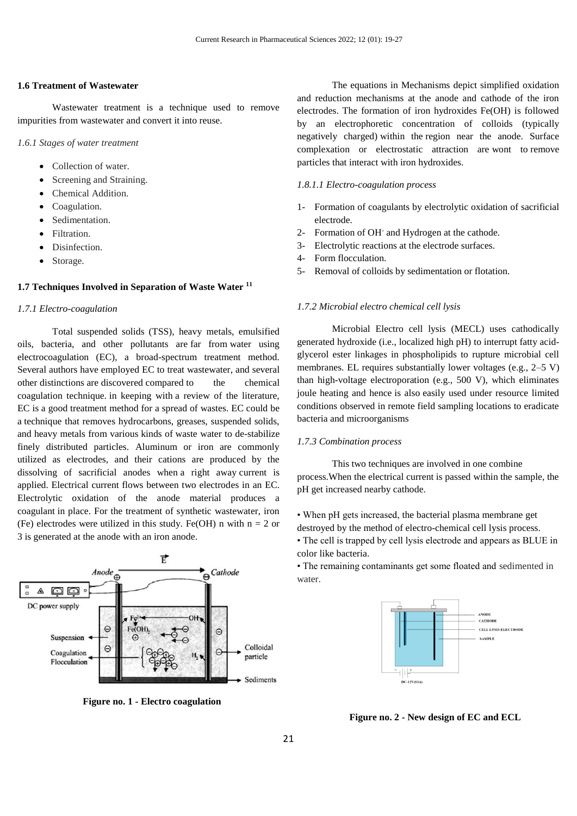# **1.6 Treatment of Wastewater**

Wastewater treatment is a technique used to remove impurities from wastewater and convert it into reuse.

*1.6.1 Stages of water treatment*

- Collection of water.
- Screening and Straining.
- Chemical Addition.
- Coagulation.
- Sedimentation.
- Filtration.
- Disinfection.
- Storage.

# **1.7 Techniques Involved in Separation of Waste Water <sup>11</sup>**

#### *1.7.1 Electro-coagulation*

Total suspended solids (TSS), heavy metals, emulsified oils, bacteria, and other pollutants are far from water using electrocoagulation (EC), a broad-spectrum treatment method. Several authors have employed EC to treat wastewater, and several other distinctions are discovered compared to the chemical coagulation technique. in keeping with a review of the literature, EC is a good treatment method for a spread of wastes. EC could be a technique that removes hydrocarbons, greases, suspended solids, and heavy metals from various kinds of waste water to de-stabilize finely distributed particles. Aluminum or iron are commonly utilized as electrodes, and their cations are produced by the dissolving of sacrificial anodes when a right away current is applied. Electrical current flows between two electrodes in an EC. Electrolytic oxidation of the anode material produces a coagulant in place. For the treatment of synthetic wastewater, iron (Fe) electrodes were utilized in this study. Fe(OH) n with  $n = 2$  or 3 is generated at the anode with an iron anode.



**Figure no. 1 - Electro coagulation**

The equations in Mechanisms depict simplified oxidation and reduction mechanisms at the anode and cathode of the iron electrodes. The formation of iron hydroxides Fe(OH) is followed by an electrophoretic concentration of colloids (typically negatively charged) within the region near the anode. Surface complexation or electrostatic attraction are wont to remove particles that interact with iron hydroxides.

# *1.8.1.1 Electro-coagulation process*

- 1- Formation of coagulants by electrolytic oxidation of sacrificial electrode.
- 2- Formation of OH-and Hydrogen at the cathode.
- 3- Electrolytic reactions at the electrode surfaces.
- 4- Form flocculation.
- 5- Removal of colloids by sedimentation or flotation.

#### *1.7.2 Microbial electro chemical cell lysis*

Microbial Electro cell lysis (MECL) uses cathodically generated hydroxide (i.e., localized high pH) to interrupt fatty acidglycerol ester linkages in phospholipids to rupture microbial cell membranes. EL requires substantially lower voltages (e.g., 2–5 V) than high-voltage electroporation (e.g., 500 V), which eliminates joule heating and hence is also easily used under resource limited conditions observed in remote field sampling locations to eradicate bacteria and microorganisms

# *1.7.3 Combination process*

This two techniques are involved in one combine process.When the electrical current is passed within the sample, the pH get increased nearby cathode.

• When pH gets increased, the bacterial plasma membrane get destroyed by the method of electro-chemical cell lysis process.

• The cell is trapped by cell lysis electrode and appears as BLUE in color like bacteria.

• The remaining contaminants get some floated and sedimented in water.



**Figure no. 2 - New design of EC and ECL**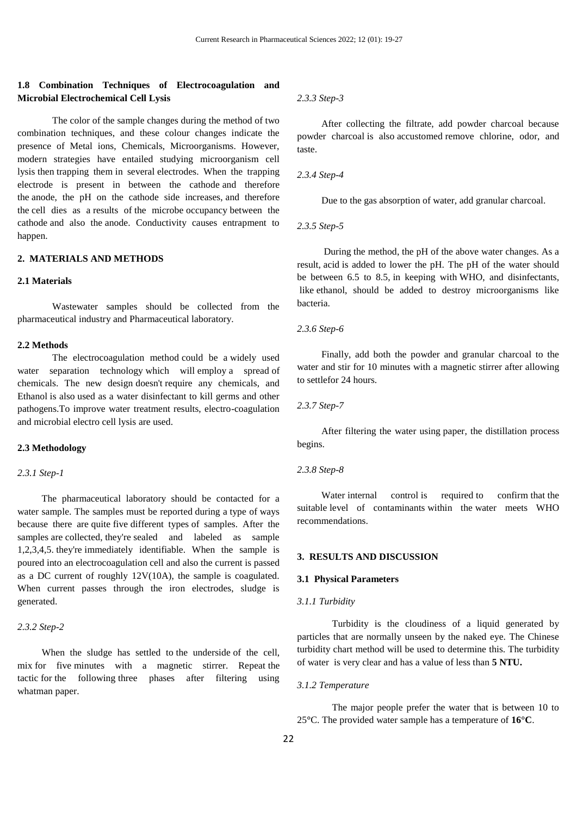# **1.8 Combination Techniques of Electrocoagulation and Microbial Electrochemical Cell Lysis**

The color of the sample changes during the method of two combination techniques, and these colour changes indicate the presence of Metal ions, Chemicals, Microorganisms. However, modern strategies have entailed studying microorganism cell lysis then trapping them in several electrodes. When the trapping electrode is present in between the cathode and therefore the anode, the pH on the cathode side increases, and therefore the cell dies as a results of the microbe occupancy between the cathode and also the anode. Conductivity causes entrapment to happen.

# **2. MATERIALS AND METHODS**

# **2.1 Materials**

Wastewater samples should be collected from the pharmaceutical industry and Pharmaceutical laboratory.

## **2.2 Methods**

The electrocoagulation method could be a widely used water separation technology which will employ a spread of chemicals. The new design doesn't require any chemicals, and Ethanol is also used as a water disinfectant to kill germs and other pathogens.To improve water treatment results, electro-coagulation and microbial electro cell lysis are used.

#### **2.3 Methodology**

# *2.3.1 Step-1*

 The pharmaceutical laboratory should be contacted for a water sample. The samples must be reported during a type of ways because there are quite five different types of samples. After the samples are collected, they're sealed and labeled as sample 1,2,3,4,5. they're immediately identifiable. When the sample is poured into an electrocoagulation cell and also the current is passed as a DC current of roughly 12V(10A), the sample is coagulated. When current passes through the iron electrodes, sludge is generated.

# *2.3.2 Step-2*

 When the sludge has settled to the underside of the cell, mix for five minutes with a magnetic stirrer. Repeat the tactic for the following three phases after filtering using whatman paper.

*2.3.3 Step-3*

 After collecting the filtrate, add powder charcoal because powder charcoal is also accustomed remove chlorine, odor, and taste.

# *2.3.4 Step-4*

Due to the gas absorption of water, add granular charcoal.

#### *2.3.5 Step-5*

 During the method, the pH of the above water changes. As a result, acid is added to lower the pH. The pH of the water should be between 6.5 to 8.5, in keeping with WHO, and disinfectants, like ethanol, should be added to destroy microorganisms like bacteria.

#### *2.3.6 Step-6*

 Finally, add both the powder and granular charcoal to the water and stir for 10 minutes with a magnetic stirrer after allowing to settlefor 24 hours.

#### *2.3.7 Step-7*

 After filtering the water using paper, the distillation process begins.

#### *2.3.8 Step-8*

Water internal control is required to confirm that the suitable level of contaminants within the water meets WHO recommendations.

## **3. RESULTS AND DISCUSSION**

# **3.1 Physical Parameters**

## *3.1.1 Turbidity*

Turbidity is the cloudiness of a liquid generated by particles that are normally unseen by the naked eye. The Chinese turbidity chart method will be used to determine this. The turbidity of water is very clear and has a value of less than **5 NTU.**

# *3.1.2 Temperature*

The major people prefer the water that is between 10 to 25**°**C. The provided water sample has a temperature of **16°C**.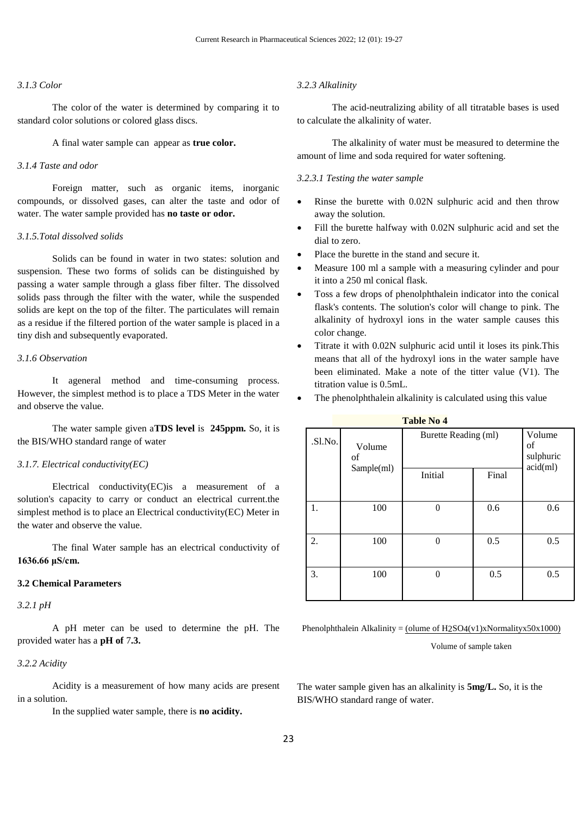# *3.1.3 Color*

The color of the water is determined by comparing it to standard color solutions or colored glass discs.

A final water sample can appear as **true color.**

## *3.1.4 Taste and odor*

Foreign matter, such as organic items, inorganic compounds, or dissolved gases, can alter the taste and odor of water. The water sample provided has **no taste or odor.**

#### *3.1.5.Total dissolved solids*

Solids can be found in water in two states: solution and suspension. These two forms of solids can be distinguished by passing a water sample through a glass fiber filter. The dissolved solids pass through the filter with the water, while the suspended solids are kept on the top of the filter. The particulates will remain as a residue if the filtered portion of the water sample is placed in a tiny dish and subsequently evaporated.

# *3.1.6 Observation*

It ageneral method and time-consuming process. However, the simplest method is to place a TDS Meter in the water and observe the value.

The water sample given a**TDS level** is **245ppm.** So, it is the BIS/WHO standard range of water

#### *3.1.7. Electrical conductivity(EC)*

Electrical conductivity(EC)is a measurement of a solution's capacity to carry or conduct an electrical current.the simplest method is to place an Electrical conductivity(EC) Meter in the water and observe the value.

The final Water sample has an electrical conductivity of **1636.66 μS/cm.**

# **3.2 Chemical Parameters**

*3.2.1 pH*

A pH meter can be used to determine the pH. The provided water has a **pH of** 7**.3.**

# *3.2.2 Acidity*

Acidity is a measurement of how many acids are present in a solution.

In the supplied water sample, there is **no acidity.**

#### *3.2.3 Alkalinity*

The acid-neutralizing ability of all titratable bases is used to calculate the alkalinity of water.

The alkalinity of water must be measured to determine the amount of lime and soda required for water softening.

#### *3.2.3.1 Testing the water sample*

- Rinse the burette with 0.02N sulphuric acid and then throw away the solution.
- Fill the burette halfway with 0.02N sulphuric acid and set the dial to zero.
- Place the burette in the stand and secure it.
- Measure 100 ml a sample with a measuring cylinder and pour it into a 250 ml conical flask.
- Toss a few drops of phenolphthalein indicator into the conical flask's contents. The solution's color will change to pink. The alkalinity of hydroxyl ions in the water sample causes this color change.
- Titrate it with 0.02N sulphuric acid until it loses its pink.This means that all of the hydroxyl ions in the water sample have been eliminated. Make a note of the titter value (V1). The titration value is 0.5mL.
- The phenolphthalein alkalinity is calculated using this value

| <b>Table No 4</b> |              |                      |       |                                       |
|-------------------|--------------|----------------------|-------|---------------------------------------|
| .Sl.No.           | Volume<br>of | Burette Reading (ml) |       | Volume<br>of<br>sulphuric<br>acid(ml) |
|                   | Sample(ml)   | Initial              | Final |                                       |
| 1.                | 100          | $\Omega$             | 0.6   | 0.6                                   |
| 2.                | 100          | $\Omega$             | 0.5   | 0.5                                   |
| 3.                | 100          | $\Omega$             | 0.5   | 0.5                                   |

Phenolphthalein Alkalinity = (olume of  $H2SO4(v1)x$ Normalityx50x1000)

Volume of sample taken

The water sample given has an alkalinity is **5mg/L.** So, it is the BIS/WHO standard range of water.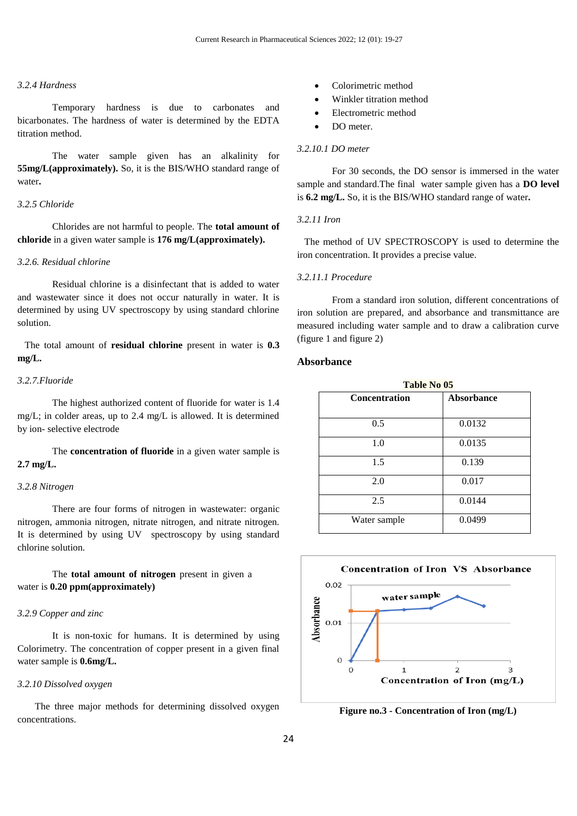# *3.2.4 Hardness*

Temporary hardness is due to carbonates and bicarbonates. The hardness of water is determined by the EDTA titration method.

The water sample given has an alkalinity for **55mg/L(approximately).** So, it is the BIS/WHO standard range of water**.**

#### *3.2.5 Chloride*

Chlorides are not harmful to people. The **total amount of chloride** in a given water sample is **176 mg/L(approximately).**

# *3.2.6. Residual chlorine*

Residual chlorine is a disinfectant that is added to water and wastewater since it does not occur naturally in water. It is determined by using UV spectroscopy by using standard chlorine solution.

 The total amount of **residual chlorine** present in water is **0.3 mg/L.**

## *3.2.7.Fluoride*

The highest authorized content of fluoride for water is 1.4 mg/L; in colder areas, up to 2.4 mg/L is allowed. It is determined by ion- selective electrode

The **concentration of fluoride** in a given water sample is **2.7 mg/L.**

#### *3.2.8 Nitrogen*

There are four forms of nitrogen in wastewater: organic nitrogen, ammonia nitrogen, nitrate nitrogen, and nitrate nitrogen. It is determined by using UV spectroscopy by using standard chlorine solution.

The **total amount of nitrogen** present in given a water is **0.20 ppm(approximately)**

# *3.2.9 Copper and zinc*

It is non-toxic for humans. It is determined by using Colorimetry. The concentration of copper present in a given final water sample is **0.6mg/L.**

## *3.2.10 Dissolved oxygen*

The three major methods for determining dissolved oxygen concentrations.

- Colorimetric method
- Winkler titration method
- Electrometric method
- DO meter.

#### *3.2.10.1 DO meter*

For 30 seconds, the DO sensor is immersed in the water sample and standard.The final water sample given has a **DO level** is **6.2 mg/L.** So, it is the BIS/WHO standard range of water**.**

## *3.2.11 Iron*

 The method of UV SPECTROSCOPY is used to determine the iron concentration. It provides a precise value.

#### *3.2.11.1 Procedure*

From a standard iron solution, different concentrations of iron solution are prepared, and absorbance and transmittance are measured including water sample and to draw a calibration curve (figure 1 and figure 2)

# **Absorbance**

| <b>Table No 05</b>   |                   |  |
|----------------------|-------------------|--|
| <b>Concentration</b> | <b>Absorbance</b> |  |
| 0.5                  | 0.0132            |  |
| 1.0                  | 0.0135            |  |
| 1.5                  | 0.139             |  |
| 2.0                  | 0.017             |  |
| 2.5                  | 0.0144            |  |
| Water sample         | 0.0499            |  |



**Figure no.3 - Concentration of Iron (mg/L)**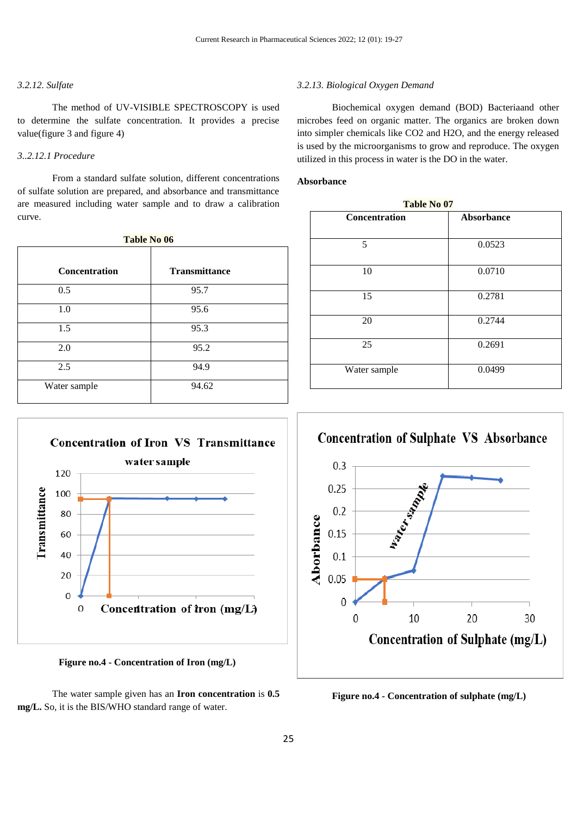# *3.2.12. Sulfate*

The method of UV-VISIBLE SPECTROSCOPY is used to determine the sulfate concentration. It provides a precise value(figure 3 and figure 4)

# *3..2.12.1 Procedure*

From a standard sulfate solution, different concentrations of sulfate solution are prepared, and absorbance and transmittance are measured including water sample and to draw a calibration curve.

| <b>Table No 06</b> |  |  |  |  |
|--------------------|--|--|--|--|
|--------------------|--|--|--|--|

| <b>Concentration</b> | <b>Transmittance</b> |
|----------------------|----------------------|
| 0.5                  | 95.7                 |
| 1.0                  | 95.6                 |
| 1.5                  | 95.3                 |
| 2.0                  | 95.2                 |
| 2.5                  | 94.9                 |
| Water sample         | 94.62                |



 **Figure no.4 - Concentration of Iron (mg/L)**



## *3.2.13. Biological Oxygen Demand*

Biochemical oxygen demand (BOD) Bacteriaand other microbes feed on organic matter. The organics are broken down into simpler chemicals like CO2 and H2O, and the energy released is used by the microorganisms to grow and reproduce. The oxygen utilized in this process in water is the DO in the water.

#### **Absorbance**

| Table No 07          |            |  |  |
|----------------------|------------|--|--|
| <b>Concentration</b> | Absorbance |  |  |
| 5                    | 0.0523     |  |  |
|                      |            |  |  |
| 10                   | 0.0710     |  |  |
| 15                   | 0.2781     |  |  |
|                      |            |  |  |
| 20                   | 0.2744     |  |  |
| 25                   | 0.2691     |  |  |
| Water sample         | 0.0499     |  |  |
|                      |            |  |  |



**Figure no.4 - Concentration of sulphate (mg/L)**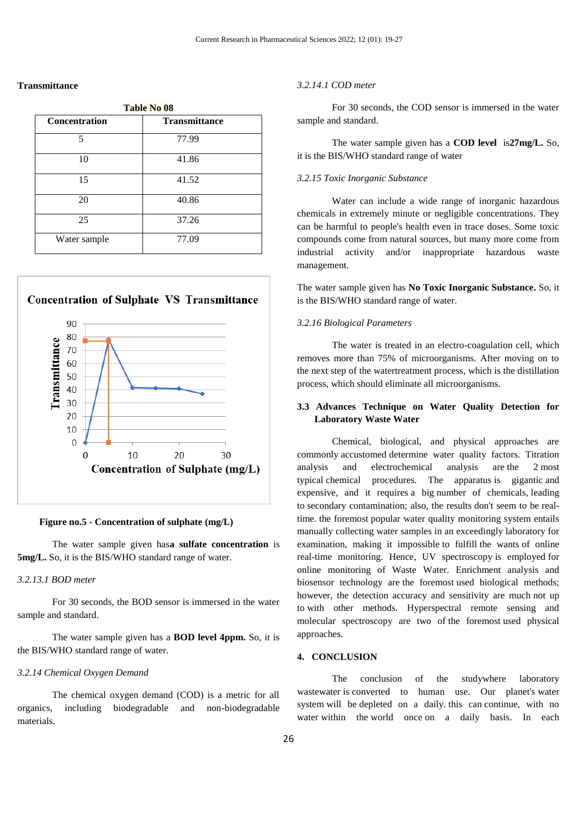## **Transmittance**

| <b>Table No 08</b> |                      |  |
|--------------------|----------------------|--|
| Concentration      | <b>Transmittance</b> |  |
| 5                  | 77.99                |  |
| 10                 | 41.86                |  |
| 15                 | 41.52                |  |
| 20                 | 40.86                |  |
| 25                 | 37.26                |  |
| Water sample       | 77.09                |  |
|                    |                      |  |



#### **Figure no.5 - Concentration of sulphate (mg/L)**

The water sample given has**a sulfate concentration** is **5mg/L.** So, it is the BIS/WHO standard range of water.

# *3.2.13.1 BOD meter*

For 30 seconds, the BOD sensor is immersed in the water sample and standard.

The water sample given has a **BOD level 4ppm.** So, it is the BIS/WHO standard range of water.

# *3.2.14 Chemical Oxygen Demand*

The chemical oxygen demand (COD) is a metric for all organics, including biodegradable and non-biodegradable materials.

#### *3.2.14.1 COD meter*

For 30 seconds, the COD sensor is immersed in the water sample and standard.

The water sample given has a **COD level** is**27mg/L.** So, it is the BIS/WHO standard range of water

#### *3.2.15 Toxic Inorganic Substance*

Water can include a wide range of inorganic hazardous chemicals in extremely minute or negligible concentrations. They can be harmful to people's health even in trace doses. Some toxic compounds come from natural sources, but many more come from industrial activity and/or inappropriate hazardous waste management.

The water sample given has **No Toxic Inorganic Substance.** So, it is the BIS/WHO standard range of water.

# *3.2.16 Biological Parameters*

The water is treated in an electro-coagulation cell, which removes more than 75% of microorganisms. After moving on to the next step of the watertreatment process, which is the distillation process, which should eliminate all microorganisms.

# **3.3 Advances Technique on Water Quality Detection for Laboratory Waste Water**

Chemical, biological, and physical approaches are commonly accustomed determine water quality factors. Titration analysis and electrochemical analysis are the 2 most typical chemical procedures. The apparatus is gigantic and expensive, and it requires a big number of chemicals, leading to secondary contamination; also, the results don't seem to be realtime. the foremost popular water quality monitoring system entails manually collecting water samples in an exceedingly laboratory for examination, making it impossible to fulfill the wants of online real-time monitoring. Hence, UV spectroscopy is employed for online monitoring of Waste Water. Enrichment analysis and biosensor technology are the foremost used biological methods; however, the detection accuracy and sensitivity are much not up to with other methods. Hyperspectral remote sensing and molecular spectroscopy are two of the foremost used physical approaches.

# **4. CONCLUSION**

The conclusion of the studywhere laboratory wastewater is converted to human use. Our planet's water system will be depleted on a daily. this can continue, with no water within the world once on a daily basis. In each